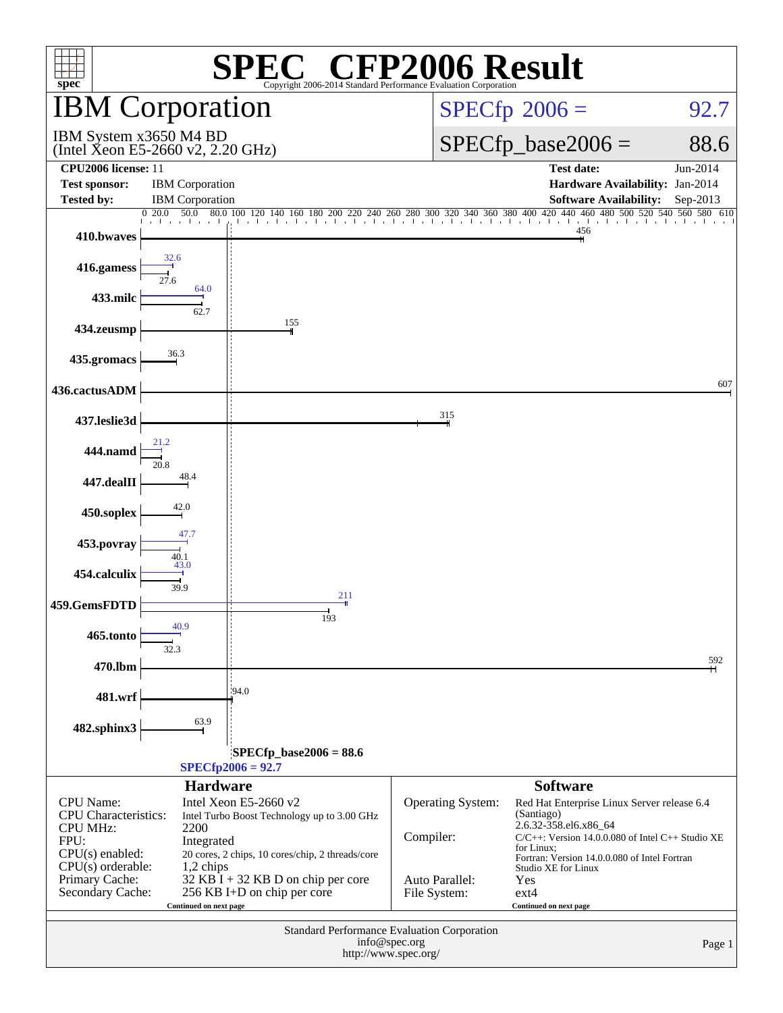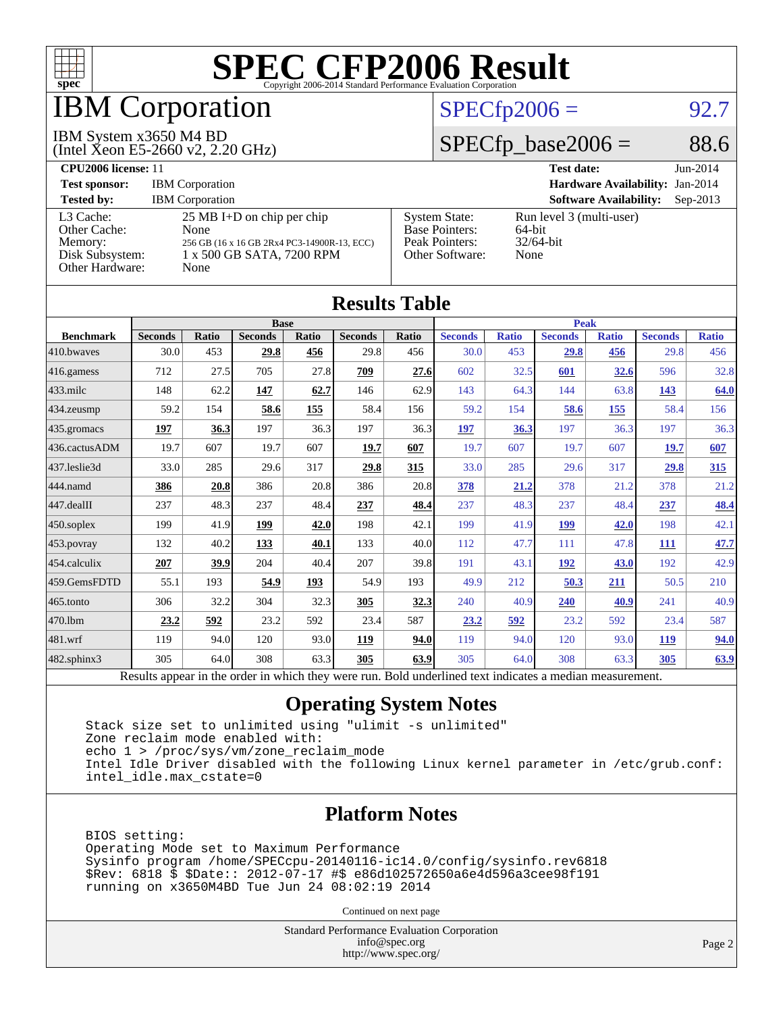

### IBM Corporation

#### IBM System x3650 M4 BD

(Intel Xeon E5-2660 v2, 2.20 GHz)

### $SPECfp2006 = 92.7$  $SPECfp2006 = 92.7$

### $SPECfp\_base2006 = 88.6$

**[CPU2006 license:](http://www.spec.org/auto/cpu2006/Docs/result-fields.html#CPU2006license)** 11 **[Test date:](http://www.spec.org/auto/cpu2006/Docs/result-fields.html#Testdate)** Jun-2014 **[Test sponsor:](http://www.spec.org/auto/cpu2006/Docs/result-fields.html#Testsponsor)** IBM Corporation **[Hardware Availability:](http://www.spec.org/auto/cpu2006/Docs/result-fields.html#HardwareAvailability)** Jan-2014 **[Tested by:](http://www.spec.org/auto/cpu2006/Docs/result-fields.html#Testedby)** IBM Corporation **[Software Availability:](http://www.spec.org/auto/cpu2006/Docs/result-fields.html#SoftwareAvailability)** Sep-2013 [L3 Cache:](http://www.spec.org/auto/cpu2006/Docs/result-fields.html#L3Cache) 25 MB I+D on chip per chip<br>Other Cache: None [Other Cache:](http://www.spec.org/auto/cpu2006/Docs/result-fields.html#OtherCache) [Memory:](http://www.spec.org/auto/cpu2006/Docs/result-fields.html#Memory) 256 GB (16 x 16 GB 2Rx4 PC3-14900R-13, ECC) [Disk Subsystem:](http://www.spec.org/auto/cpu2006/Docs/result-fields.html#DiskSubsystem) 1 x 500 GB SATA, 7200 RPM [Other Hardware:](http://www.spec.org/auto/cpu2006/Docs/result-fields.html#OtherHardware) None [System State:](http://www.spec.org/auto/cpu2006/Docs/result-fields.html#SystemState) Run level 3 (multi-user)<br>Base Pointers: 64-bit [Base Pointers:](http://www.spec.org/auto/cpu2006/Docs/result-fields.html#BasePointers) 64-bit<br>Peak Pointers: 32/64-bit [Peak Pointers:](http://www.spec.org/auto/cpu2006/Docs/result-fields.html#PeakPointers) [Other Software:](http://www.spec.org/auto/cpu2006/Docs/result-fields.html#OtherSoftware) None

| <b>Results Table</b> |                                                                                                          |       |                |       |                |       |                |              |                |              |                |              |
|----------------------|----------------------------------------------------------------------------------------------------------|-------|----------------|-------|----------------|-------|----------------|--------------|----------------|--------------|----------------|--------------|
|                      | <b>Base</b>                                                                                              |       |                |       |                |       | <b>Peak</b>    |              |                |              |                |              |
| <b>Benchmark</b>     | <b>Seconds</b>                                                                                           | Ratio | <b>Seconds</b> | Ratio | <b>Seconds</b> | Ratio | <b>Seconds</b> | <b>Ratio</b> | <b>Seconds</b> | <b>Ratio</b> | <b>Seconds</b> | <b>Ratio</b> |
| 410.bwayes           | 30.0                                                                                                     | 453   | 29.8           | 456   | 29.8           | 456   | 30.0           | 453          | 29.8           | 456          | 29.8           | 456          |
| 416.gamess           | 712                                                                                                      | 27.5  | 705            | 27.8  | 709            | 27.6  | 602            | 32.5         | 601            | 32.6         | 596            | 32.8         |
| $433$ .milc          | 148                                                                                                      | 62.2  | 147            | 62.7  | 146            | 62.9  | 143            | 64.3         | 144            | 63.8         | <u>143</u>     | 64.0         |
| 434.zeusmp           | 59.2                                                                                                     | 154   | 58.6           | 155   | 58.4           | 156   | 59.2           | 154          | 58.6           | 155          | 58.4           | 156          |
| $435$ .gromacs       | 197                                                                                                      | 36.3  | 197            | 36.3  | 197            | 36.3  | 197            | 36.3         | 197            | 36.3         | 197            | 36.3         |
| 436.cactusADM        | 19.7                                                                                                     | 607   | 19.7           | 607   | 19.7           | 607   | 19.7           | 607          | 19.7           | 607          | 19.7           | 607          |
| 437.leslie3d         | 33.0                                                                                                     | 285   | 29.6           | 317   | 29.8           | 315   | 33.0           | 285          | 29.6           | 317          | 29.8           | 315          |
| 444.namd             | 386                                                                                                      | 20.8  | 386            | 20.8  | 386            | 20.8  | 378            | 21.2         | 378            | 21.2         | 378            | 21.2         |
| 447.dealII           | 237                                                                                                      | 48.3  | 237            | 48.4  | 237            | 48.4  | 237            | 48.3         | 237            | 48.4         | 237            | 48.4         |
| $450$ .soplex        | 199                                                                                                      | 41.9  | 199            | 42.0  | 198            | 42.1  | 199            | 41.9         | 199            | 42.0         | 198            | 42.1         |
| $453$ .povray        | 132                                                                                                      | 40.2  | 133            | 40.1  | 133            | 40.0  | 112            | 47.7         | 111            | 47.8         | 111            | 47.7         |
| $ 454$ .calculix     | 207                                                                                                      | 39.9  | 204            | 40.4  | 207            | 39.8  | 191            | 43.1         | 192            | 43.0         | 192            | 42.9         |
| 459.GemsFDTD         | 55.1                                                                                                     | 193   | 54.9           | 193   | 54.9           | 193   | 49.9           | 212          | 50.3           | 211          | 50.5           | 210          |
| 465.tonto            | 306                                                                                                      | 32.2  | 304            | 32.3  | 305            | 32.3  | 240            | 40.9         | 240            | 40.9         | 241            | 40.9         |
| 470.1bm              | 23.2                                                                                                     | 592   | 23.2           | 592   | 23.4           | 587   | 23.2           | 592          | 23.2           | 592          | 23.4           | 587          |
| $ 481$ .wrf          | 119                                                                                                      | 94.0  | 120            | 93.0  | 119            | 94.0  | 119            | 94.0         | 120            | 93.0         | 119            | 94.0         |
| $482$ .sphinx $3$    | 305                                                                                                      | 64.0  | 308            | 63.3  | 305            | 63.9  | 305            | 64.0         | 308            | 63.3         | 305            | 63.9         |
|                      | Results appear in the order in which they were run. Bold underlined text indicates a median measurement. |       |                |       |                |       |                |              |                |              |                |              |

#### **[Operating System Notes](http://www.spec.org/auto/cpu2006/Docs/result-fields.html#OperatingSystemNotes)**

 Stack size set to unlimited using "ulimit -s unlimited" Zone reclaim mode enabled with: echo 1 > /proc/sys/vm/zone\_reclaim\_mode Intel Idle Driver disabled with the following Linux kernel parameter in /etc/grub.conf: intel\_idle.max\_cstate=0

### **[Platform Notes](http://www.spec.org/auto/cpu2006/Docs/result-fields.html#PlatformNotes)**

 BIOS setting: Operating Mode set to Maximum Performance Sysinfo program /home/SPECcpu-20140116-ic14.0/config/sysinfo.rev6818 \$Rev: 6818 \$ \$Date:: 2012-07-17 #\$ e86d102572650a6e4d596a3cee98f191 running on x3650M4BD Tue Jun 24 08:02:19 2014

Continued on next page

Standard Performance Evaluation Corporation [info@spec.org](mailto:info@spec.org) <http://www.spec.org/>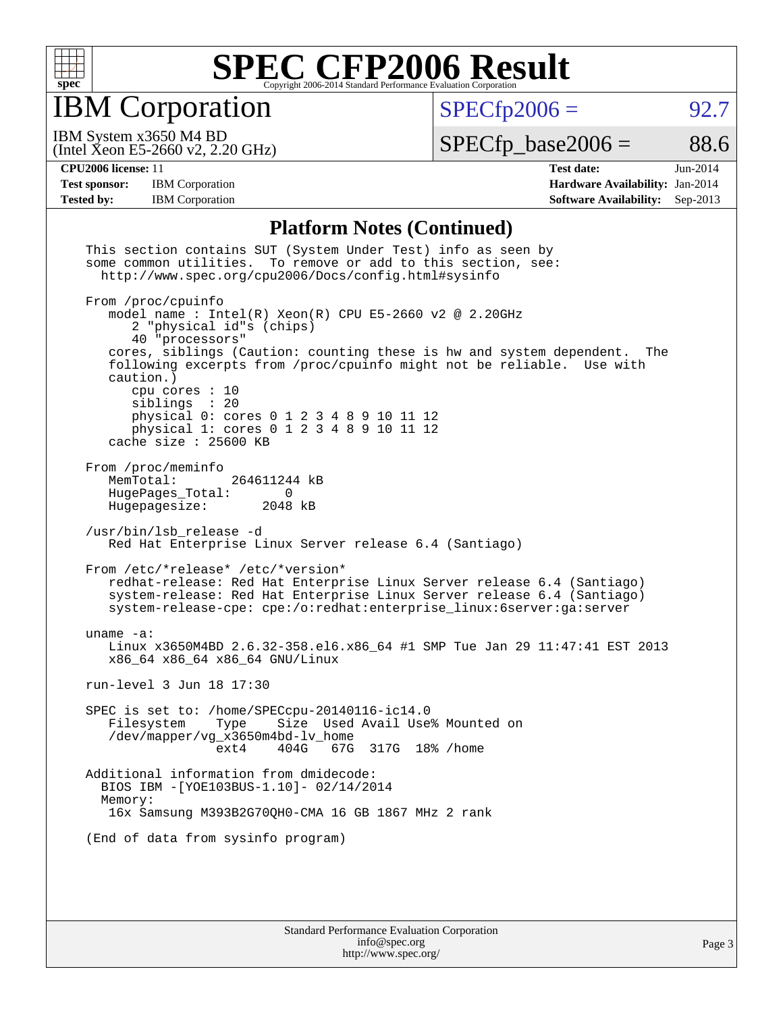

IBM Corporation

 $SPECfp2006 = 92.7$  $SPECfp2006 = 92.7$ 

(Intel Xeon E5-2660 v2, 2.20 GHz) IBM System x3650 M4 BD

 $SPECTp\_base2006 = 88.6$ 

**[CPU2006 license:](http://www.spec.org/auto/cpu2006/Docs/result-fields.html#CPU2006license)** 11 **[Test date:](http://www.spec.org/auto/cpu2006/Docs/result-fields.html#Testdate)** Jun-2014 [Test sponsor:](http://www.spec.org/auto/cpu2006/Docs/result-fields.html#Testsponsor) IBM Corporation **[Hardware Availability:](http://www.spec.org/auto/cpu2006/Docs/result-fields.html#HardwareAvailability)** Jan-2014 **[Tested by:](http://www.spec.org/auto/cpu2006/Docs/result-fields.html#Testedby)** IBM Corporation **[Software Availability:](http://www.spec.org/auto/cpu2006/Docs/result-fields.html#SoftwareAvailability)** Sep-2013

### **[Platform Notes \(Continued\)](http://www.spec.org/auto/cpu2006/Docs/result-fields.html#PlatformNotes)**

| This section contains SUT (System Under Test) info as seen by<br>some common utilities. To remove or add to this section, see:<br>http://www.spec.org/cpu2006/Docs/config.html#sysinfo                                                                                                                                                                                                                                                                       |  |  |  |  |  |
|--------------------------------------------------------------------------------------------------------------------------------------------------------------------------------------------------------------------------------------------------------------------------------------------------------------------------------------------------------------------------------------------------------------------------------------------------------------|--|--|--|--|--|
| From /proc/cpuinfo<br>model name: $Intel(R)$ Xeon $(R)$ CPU E5-2660 v2 @ 2.20GHz<br>2 "physical id"s (chips)<br>40 "processors"<br>cores, siblings (Caution: counting these is hw and system dependent.<br>The<br>following excerpts from /proc/cpuinfo might not be reliable. Use with<br>caution.)<br>cpu cores $: 10$<br>siblings : 20<br>physical 0: cores 0 1 2 3 4 8 9 10 11 12<br>physical 1: cores 0 1 2 3 4 8 9 10 11 12<br>cache size $: 25600$ KB |  |  |  |  |  |
| From /proc/meminfo<br>MemTotal:<br>264611244 kB<br>HugePages_Total:<br>0<br>Hugepagesize: 2048 kB                                                                                                                                                                                                                                                                                                                                                            |  |  |  |  |  |
| /usr/bin/lsb_release -d<br>Red Hat Enterprise Linux Server release 6.4 (Santiago)                                                                                                                                                                                                                                                                                                                                                                            |  |  |  |  |  |
| From /etc/*release* /etc/*version*<br>redhat-release: Red Hat Enterprise Linux Server release 6.4 (Santiago)<br>system-release: Red Hat Enterprise Linux Server release 6.4 (Santiago)<br>system-release-cpe: cpe:/o:redhat:enterprise_linux:6server:ga:server                                                                                                                                                                                               |  |  |  |  |  |
| uname $-a$ :<br>Linux x3650M4BD 2.6.32-358.el6.x86_64 #1 SMP Tue Jan 29 11:47:41 EST 2013<br>x86_64 x86_64 x86_64 GNU/Linux                                                                                                                                                                                                                                                                                                                                  |  |  |  |  |  |
| run-level 3 Jun 18 17:30                                                                                                                                                                                                                                                                                                                                                                                                                                     |  |  |  |  |  |
| SPEC is set to: /home/SPECcpu-20140116-ic14.0<br>Size Used Avail Use% Mounted on<br>Filesystem<br>Type<br>/dev/mapper/vg_x3650m4bd-lv_home<br>404G 67G 317G 18% / home<br>ext4                                                                                                                                                                                                                                                                               |  |  |  |  |  |
| Additional information from dmidecode:<br>BIOS IBM - [YOE103BUS-1.10]- 02/14/2014<br>Memory:<br>16x Samsung M393B2G70QH0-CMA 16 GB 1867 MHz 2 rank                                                                                                                                                                                                                                                                                                           |  |  |  |  |  |
| (End of data from sysinfo program)                                                                                                                                                                                                                                                                                                                                                                                                                           |  |  |  |  |  |
|                                                                                                                                                                                                                                                                                                                                                                                                                                                              |  |  |  |  |  |
| $R_{\text{true}}$ dead $D_{\text{true}}$ fractional $R_{\text{true}}$ (and $C_{\text{true}}$ and $\Delta$                                                                                                                                                                                                                                                                                                                                                    |  |  |  |  |  |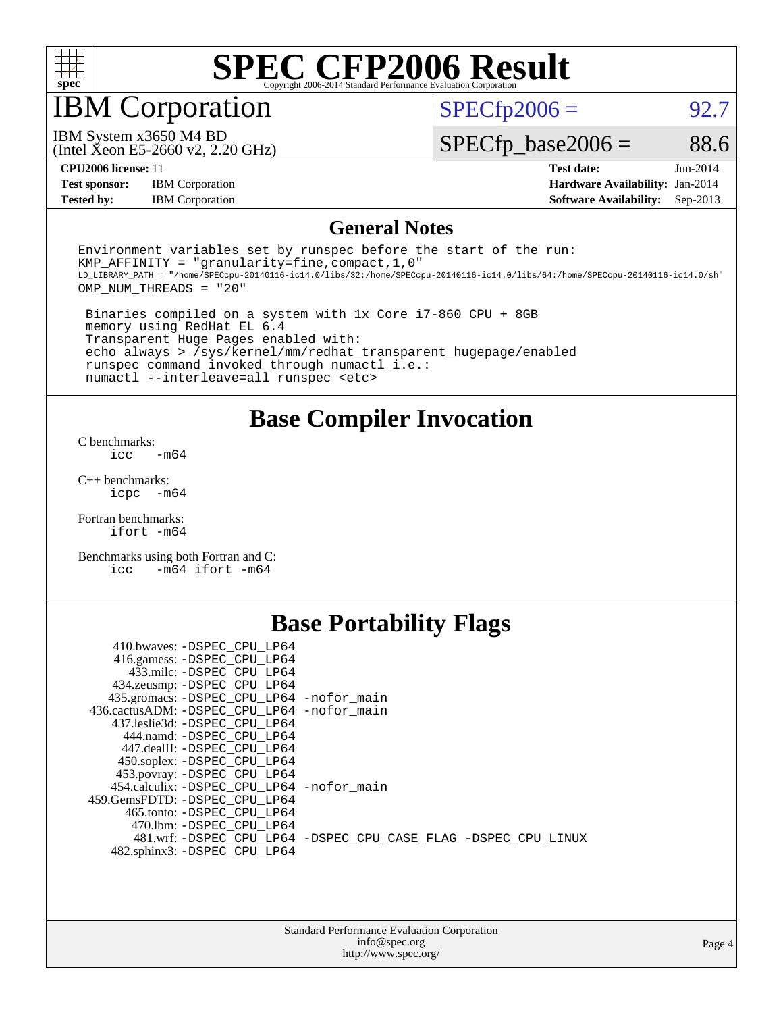

### IBM Corporation

 $SPECTp2006 = 92.7$ 

(Intel Xeon E5-2660 v2, 2.20 GHz) IBM System x3650 M4 BD

 $SPECfp\_base2006 = 88.6$ 

**[Test sponsor:](http://www.spec.org/auto/cpu2006/Docs/result-fields.html#Testsponsor)** IBM Corporation **[Hardware Availability:](http://www.spec.org/auto/cpu2006/Docs/result-fields.html#HardwareAvailability)** Jan-2014

**[CPU2006 license:](http://www.spec.org/auto/cpu2006/Docs/result-fields.html#CPU2006license)** 11 **[Test date:](http://www.spec.org/auto/cpu2006/Docs/result-fields.html#Testdate)** Jun-2014 **[Tested by:](http://www.spec.org/auto/cpu2006/Docs/result-fields.html#Testedby)** IBM Corporation **[Software Availability:](http://www.spec.org/auto/cpu2006/Docs/result-fields.html#SoftwareAvailability)** Sep-2013

### **[General Notes](http://www.spec.org/auto/cpu2006/Docs/result-fields.html#GeneralNotes)**

Environment variables set by runspec before the start of the run: KMP AFFINITY = "granularity=fine, compact,  $1,0$ " LD\_LIBRARY\_PATH = "/home/SPECcpu-20140116-ic14.0/libs/32:/home/SPECcpu-20140116-ic14.0/libs/64:/home/SPECcpu-20140116-ic14.0/sh" OMP\_NUM\_THREADS = "20"

 Binaries compiled on a system with 1x Core i7-860 CPU + 8GB memory using RedHat EL 6.4 Transparent Huge Pages enabled with: echo always > /sys/kernel/mm/redhat\_transparent\_hugepage/enabled runspec command invoked through numactl i.e.: numactl --interleave=all runspec <etc>

**[Base Compiler Invocation](http://www.spec.org/auto/cpu2006/Docs/result-fields.html#BaseCompilerInvocation)**

[C benchmarks](http://www.spec.org/auto/cpu2006/Docs/result-fields.html#Cbenchmarks):  $\text{icc}$   $-\text{m64}$ 

[C++ benchmarks:](http://www.spec.org/auto/cpu2006/Docs/result-fields.html#CXXbenchmarks) [icpc -m64](http://www.spec.org/cpu2006/results/res2014q3/cpu2006-20140625-30021.flags.html#user_CXXbase_intel_icpc_64bit_bedb90c1146cab66620883ef4f41a67e)

[Fortran benchmarks](http://www.spec.org/auto/cpu2006/Docs/result-fields.html#Fortranbenchmarks): [ifort -m64](http://www.spec.org/cpu2006/results/res2014q3/cpu2006-20140625-30021.flags.html#user_FCbase_intel_ifort_64bit_ee9d0fb25645d0210d97eb0527dcc06e)

[Benchmarks using both Fortran and C](http://www.spec.org/auto/cpu2006/Docs/result-fields.html#BenchmarksusingbothFortranandC): [icc -m64](http://www.spec.org/cpu2006/results/res2014q3/cpu2006-20140625-30021.flags.html#user_CC_FCbase_intel_icc_64bit_0b7121f5ab7cfabee23d88897260401c) [ifort -m64](http://www.spec.org/cpu2006/results/res2014q3/cpu2006-20140625-30021.flags.html#user_CC_FCbase_intel_ifort_64bit_ee9d0fb25645d0210d97eb0527dcc06e)

### **[Base Portability Flags](http://www.spec.org/auto/cpu2006/Docs/result-fields.html#BasePortabilityFlags)**

| 410.bwaves: -DSPEC CPU LP64                 |                                                                |
|---------------------------------------------|----------------------------------------------------------------|
| 416.gamess: -DSPEC CPU LP64                 |                                                                |
| 433.milc: -DSPEC CPU LP64                   |                                                                |
| 434.zeusmp: - DSPEC_CPU_LP64                |                                                                |
| 435.gromacs: -DSPEC_CPU_LP64 -nofor_main    |                                                                |
| 436.cactusADM: -DSPEC CPU LP64 -nofor main  |                                                                |
| 437.leslie3d: -DSPEC CPU LP64               |                                                                |
| 444.namd: -DSPEC CPU LP64                   |                                                                |
| 447.dealII: -DSPEC CPU LP64                 |                                                                |
| 450.soplex: -DSPEC_CPU_LP64                 |                                                                |
| 453.povray: -DSPEC_CPU_LP64                 |                                                                |
| 454.calculix: - DSPEC CPU LP64 - nofor main |                                                                |
| 459.GemsFDTD: -DSPEC CPU LP64               |                                                                |
| 465.tonto: -DSPEC CPU LP64                  |                                                                |
| 470.1bm: - DSPEC CPU LP64                   |                                                                |
|                                             | 481.wrf: -DSPEC_CPU_LP64 -DSPEC_CPU_CASE_FLAG -DSPEC_CPU_LINUX |
| 482.sphinx3: -DSPEC_CPU_LP64                |                                                                |
|                                             |                                                                |

| <b>Standard Performance Evaluation Corporation</b> |
|----------------------------------------------------|
| info@spec.org                                      |
| http://www.spec.org/                               |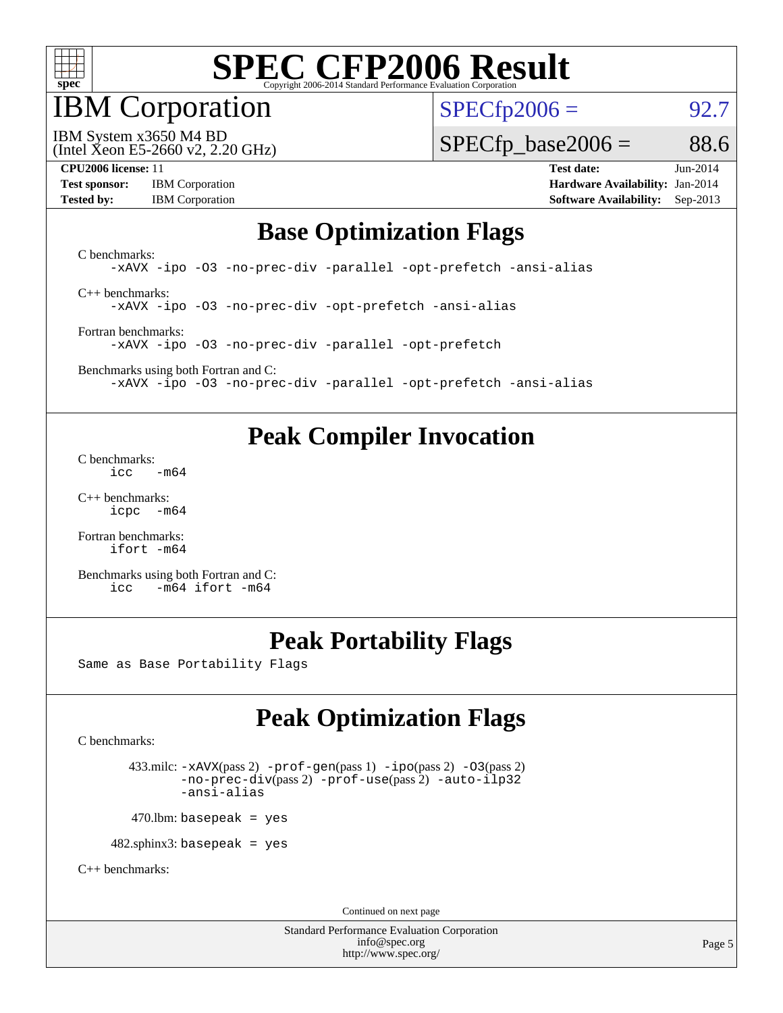

### IBM Corporation

 $SPECfp2006 = 92.7$  $SPECfp2006 = 92.7$ 

(Intel Xeon E5-2660 v2, 2.20 GHz) IBM System x3650 M4 BD

 $SPECTp\_base2006 = 88.6$ 

**[Test sponsor:](http://www.spec.org/auto/cpu2006/Docs/result-fields.html#Testsponsor)** IBM Corporation **[Hardware Availability:](http://www.spec.org/auto/cpu2006/Docs/result-fields.html#HardwareAvailability)** Jan-2014 **[Tested by:](http://www.spec.org/auto/cpu2006/Docs/result-fields.html#Testedby)** IBM Corporation **[Software Availability:](http://www.spec.org/auto/cpu2006/Docs/result-fields.html#SoftwareAvailability)** Sep-2013

**[CPU2006 license:](http://www.spec.org/auto/cpu2006/Docs/result-fields.html#CPU2006license)** 11 **[Test date:](http://www.spec.org/auto/cpu2006/Docs/result-fields.html#Testdate)** Jun-2014

### **[Base Optimization Flags](http://www.spec.org/auto/cpu2006/Docs/result-fields.html#BaseOptimizationFlags)**

[C benchmarks](http://www.spec.org/auto/cpu2006/Docs/result-fields.html#Cbenchmarks): [-xAVX](http://www.spec.org/cpu2006/results/res2014q3/cpu2006-20140625-30021.flags.html#user_CCbase_f-xAVX) [-ipo](http://www.spec.org/cpu2006/results/res2014q3/cpu2006-20140625-30021.flags.html#user_CCbase_f-ipo) [-O3](http://www.spec.org/cpu2006/results/res2014q3/cpu2006-20140625-30021.flags.html#user_CCbase_f-O3) [-no-prec-div](http://www.spec.org/cpu2006/results/res2014q3/cpu2006-20140625-30021.flags.html#user_CCbase_f-no-prec-div) [-parallel](http://www.spec.org/cpu2006/results/res2014q3/cpu2006-20140625-30021.flags.html#user_CCbase_f-parallel) [-opt-prefetch](http://www.spec.org/cpu2006/results/res2014q3/cpu2006-20140625-30021.flags.html#user_CCbase_f-opt-prefetch) [-ansi-alias](http://www.spec.org/cpu2006/results/res2014q3/cpu2006-20140625-30021.flags.html#user_CCbase_f-ansi-alias) [C++ benchmarks:](http://www.spec.org/auto/cpu2006/Docs/result-fields.html#CXXbenchmarks)

[-xAVX](http://www.spec.org/cpu2006/results/res2014q3/cpu2006-20140625-30021.flags.html#user_CXXbase_f-xAVX) [-ipo](http://www.spec.org/cpu2006/results/res2014q3/cpu2006-20140625-30021.flags.html#user_CXXbase_f-ipo) [-O3](http://www.spec.org/cpu2006/results/res2014q3/cpu2006-20140625-30021.flags.html#user_CXXbase_f-O3) [-no-prec-div](http://www.spec.org/cpu2006/results/res2014q3/cpu2006-20140625-30021.flags.html#user_CXXbase_f-no-prec-div) [-opt-prefetch](http://www.spec.org/cpu2006/results/res2014q3/cpu2006-20140625-30021.flags.html#user_CXXbase_f-opt-prefetch) [-ansi-alias](http://www.spec.org/cpu2006/results/res2014q3/cpu2006-20140625-30021.flags.html#user_CXXbase_f-ansi-alias)

[Fortran benchmarks](http://www.spec.org/auto/cpu2006/Docs/result-fields.html#Fortranbenchmarks): [-xAVX](http://www.spec.org/cpu2006/results/res2014q3/cpu2006-20140625-30021.flags.html#user_FCbase_f-xAVX) [-ipo](http://www.spec.org/cpu2006/results/res2014q3/cpu2006-20140625-30021.flags.html#user_FCbase_f-ipo) [-O3](http://www.spec.org/cpu2006/results/res2014q3/cpu2006-20140625-30021.flags.html#user_FCbase_f-O3) [-no-prec-div](http://www.spec.org/cpu2006/results/res2014q3/cpu2006-20140625-30021.flags.html#user_FCbase_f-no-prec-div) [-parallel](http://www.spec.org/cpu2006/results/res2014q3/cpu2006-20140625-30021.flags.html#user_FCbase_f-parallel) [-opt-prefetch](http://www.spec.org/cpu2006/results/res2014q3/cpu2006-20140625-30021.flags.html#user_FCbase_f-opt-prefetch)

[Benchmarks using both Fortran and C](http://www.spec.org/auto/cpu2006/Docs/result-fields.html#BenchmarksusingbothFortranandC): [-xAVX](http://www.spec.org/cpu2006/results/res2014q3/cpu2006-20140625-30021.flags.html#user_CC_FCbase_f-xAVX) [-ipo](http://www.spec.org/cpu2006/results/res2014q3/cpu2006-20140625-30021.flags.html#user_CC_FCbase_f-ipo) [-O3](http://www.spec.org/cpu2006/results/res2014q3/cpu2006-20140625-30021.flags.html#user_CC_FCbase_f-O3) [-no-prec-div](http://www.spec.org/cpu2006/results/res2014q3/cpu2006-20140625-30021.flags.html#user_CC_FCbase_f-no-prec-div) [-parallel](http://www.spec.org/cpu2006/results/res2014q3/cpu2006-20140625-30021.flags.html#user_CC_FCbase_f-parallel) [-opt-prefetch](http://www.spec.org/cpu2006/results/res2014q3/cpu2006-20140625-30021.flags.html#user_CC_FCbase_f-opt-prefetch) [-ansi-alias](http://www.spec.org/cpu2006/results/res2014q3/cpu2006-20140625-30021.flags.html#user_CC_FCbase_f-ansi-alias)

### **[Peak Compiler Invocation](http://www.spec.org/auto/cpu2006/Docs/result-fields.html#PeakCompilerInvocation)**

[C benchmarks](http://www.spec.org/auto/cpu2006/Docs/result-fields.html#Cbenchmarks):  $\text{icc}$  -m64

[C++ benchmarks:](http://www.spec.org/auto/cpu2006/Docs/result-fields.html#CXXbenchmarks) [icpc -m64](http://www.spec.org/cpu2006/results/res2014q3/cpu2006-20140625-30021.flags.html#user_CXXpeak_intel_icpc_64bit_bedb90c1146cab66620883ef4f41a67e)

[Fortran benchmarks](http://www.spec.org/auto/cpu2006/Docs/result-fields.html#Fortranbenchmarks): [ifort -m64](http://www.spec.org/cpu2006/results/res2014q3/cpu2006-20140625-30021.flags.html#user_FCpeak_intel_ifort_64bit_ee9d0fb25645d0210d97eb0527dcc06e)

[Benchmarks using both Fortran and C](http://www.spec.org/auto/cpu2006/Docs/result-fields.html#BenchmarksusingbothFortranandC): [icc -m64](http://www.spec.org/cpu2006/results/res2014q3/cpu2006-20140625-30021.flags.html#user_CC_FCpeak_intel_icc_64bit_0b7121f5ab7cfabee23d88897260401c) [ifort -m64](http://www.spec.org/cpu2006/results/res2014q3/cpu2006-20140625-30021.flags.html#user_CC_FCpeak_intel_ifort_64bit_ee9d0fb25645d0210d97eb0527dcc06e)

### **[Peak Portability Flags](http://www.spec.org/auto/cpu2006/Docs/result-fields.html#PeakPortabilityFlags)**

Same as Base Portability Flags

### **[Peak Optimization Flags](http://www.spec.org/auto/cpu2006/Docs/result-fields.html#PeakOptimizationFlags)**

[C benchmarks](http://www.spec.org/auto/cpu2006/Docs/result-fields.html#Cbenchmarks):

 433.milc: [-xAVX](http://www.spec.org/cpu2006/results/res2014q3/cpu2006-20140625-30021.flags.html#user_peakPASS2_CFLAGSPASS2_LDFLAGS433_milc_f-xAVX)(pass 2) [-prof-gen](http://www.spec.org/cpu2006/results/res2014q3/cpu2006-20140625-30021.flags.html#user_peakPASS1_CFLAGSPASS1_LDFLAGS433_milc_prof_gen_e43856698f6ca7b7e442dfd80e94a8fc)(pass 1) [-ipo](http://www.spec.org/cpu2006/results/res2014q3/cpu2006-20140625-30021.flags.html#user_peakPASS2_CFLAGSPASS2_LDFLAGS433_milc_f-ipo)(pass 2) [-O3](http://www.spec.org/cpu2006/results/res2014q3/cpu2006-20140625-30021.flags.html#user_peakPASS2_CFLAGSPASS2_LDFLAGS433_milc_f-O3)(pass 2) [-no-prec-div](http://www.spec.org/cpu2006/results/res2014q3/cpu2006-20140625-30021.flags.html#user_peakPASS2_CFLAGSPASS2_LDFLAGS433_milc_f-no-prec-div)(pass 2) [-prof-use](http://www.spec.org/cpu2006/results/res2014q3/cpu2006-20140625-30021.flags.html#user_peakPASS2_CFLAGSPASS2_LDFLAGS433_milc_prof_use_bccf7792157ff70d64e32fe3e1250b55)(pass 2) [-auto-ilp32](http://www.spec.org/cpu2006/results/res2014q3/cpu2006-20140625-30021.flags.html#user_peakCOPTIMIZE433_milc_f-auto-ilp32) [-ansi-alias](http://www.spec.org/cpu2006/results/res2014q3/cpu2006-20140625-30021.flags.html#user_peakCOPTIMIZE433_milc_f-ansi-alias)

 $470$ .lbm: basepeak = yes

482.sphinx3: basepeak = yes

[C++ benchmarks:](http://www.spec.org/auto/cpu2006/Docs/result-fields.html#CXXbenchmarks)

Continued on next page

Standard Performance Evaluation Corporation [info@spec.org](mailto:info@spec.org) <http://www.spec.org/>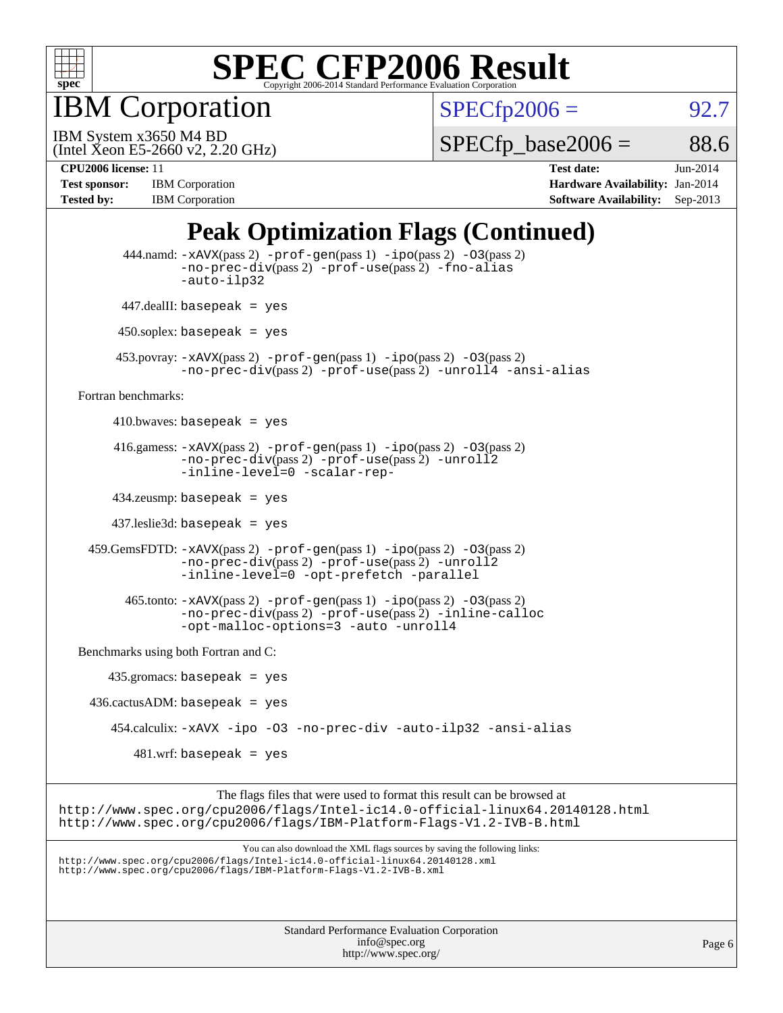

IBM Corporation

 $SPECTp2006 = 92.7$ 

(Intel Xeon E5-2660 v2, 2.20 GHz) IBM System x3650 M4 BD

 $SPECTp\_base2006 = 88.6$ 

**[Test sponsor:](http://www.spec.org/auto/cpu2006/Docs/result-fields.html#Testsponsor)** IBM Corporation **[Hardware Availability:](http://www.spec.org/auto/cpu2006/Docs/result-fields.html#HardwareAvailability)** Jan-2014

**[CPU2006 license:](http://www.spec.org/auto/cpu2006/Docs/result-fields.html#CPU2006license)** 11 **[Test date:](http://www.spec.org/auto/cpu2006/Docs/result-fields.html#Testdate)** Jun-2014 **[Tested by:](http://www.spec.org/auto/cpu2006/Docs/result-fields.html#Testedby)** IBM Corporation **[Software Availability:](http://www.spec.org/auto/cpu2006/Docs/result-fields.html#SoftwareAvailability)** Sep-2013

### **[Peak Optimization Flags \(Continued\)](http://www.spec.org/auto/cpu2006/Docs/result-fields.html#PeakOptimizationFlags)**

```
Standard Performance Evaluation Corporation
                                               info@spec.org
                                             http://www.spec.org/
                                                                                                       Page 6
           444.namd: -xAVX(pass 2) -prof-gen(pass 1) -ipo(pass 2) -O3(pass 2)
                   -no-prec-div(pass 2) -prof-use(pass 2) -fno-alias
                   -auto-ilp32
           447.dealII: basepeak = yes
          450.soplex: basepeak = yes
          453.povray: -xAVX(pass 2) -prof-gen(pass 1) -ipo(pass 2) -O3(pass 2)
                   -no-prec-div(pass 2) -prof-use(pass 2) -unroll4 -ansi-alias
   Fortran benchmarks: 
        410.bwaves: basepeak = yes416.gamess: -xAVX(pass 2) -prof-gen(pass 1) -ipo(pass 2) -O3(pass 2)
                   -no-prec-div(pass 2) -prof-use(pass 2) -unroll2
                   -inline-level=0 -scalar-rep-
         434.zeusmp: basepeak = yes
         437.leslie3d: basepeak = yes
     459.GemsFDTD: -xAVX(pass 2) -prof-gen(pass 1) -ipo(pass 2) -O3(pass 2)
                   -no-prec-div(pass 2) -prof-use(pass 2) -unroll2
                   -inline-level=0 -opt-prefetch -parallel
          465.tonto: -xAVX(pass 2) -prof-gen(pass 1) -po(pass 2) -03(pass 2)
                   -no-prec-div(pass 2) -prof-use(pass 2) -inline-calloc
                   -opt-malloc-options=3 -auto -unroll4
   Benchmarks using both Fortran and C: 
        435.gromacs: basepeak = yes
     436.cactusADM: basepeak = yes
         454.calculix: -xAVX -ipo -O3 -no-prec-div -auto-ilp32 -ansi-alias
            481.wrf: basepeak = yes
                         The flags files that were used to format this result can be browsed at
http://www.spec.org/cpu2006/flags/Intel-ic14.0-official-linux64.20140128.html
http://www.spec.org/cpu2006/flags/IBM-Platform-Flags-V1.2-IVB-B.html
                             You can also download the XML flags sources by saving the following links:
http://www.spec.org/cpu2006/flags/Intel-ic14.0-official-linux64.20140128.xml
http://www.spec.org/cpu2006/flags/IBM-Platform-Flags-V1.2-IVB-B.xml
```